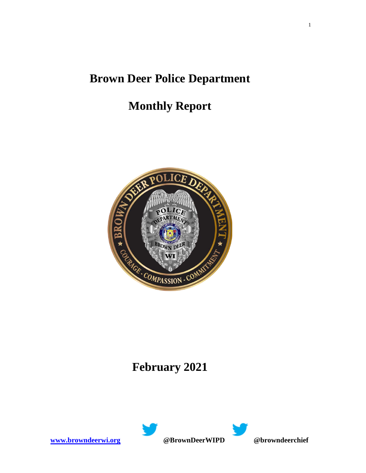# **Brown Deer Police Department**

# **Monthly Report**



# **February 2021**



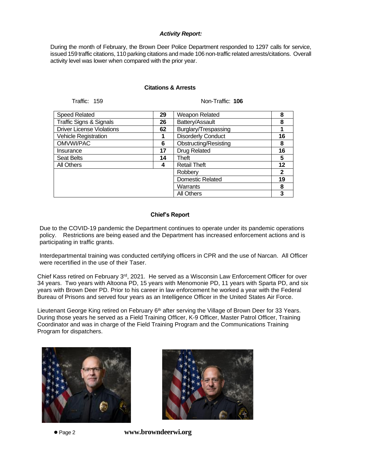### *Activity Report:*

During the month of February, the Brown Deer Police Department responded to 1297 calls for service, issued 159 traffic citations, 110 parking citations and made 106 non-traffic related arrests/citations. Overall activity level was lower when compared with the prior year.

### **Citations & Arrests**

Traffic: 159 Non-Traffic: **106**

| <b>Speed Related</b><br>29<br>Weapon Related<br>8<br>Traffic Signs & Signals<br>Battery/Assault<br>26<br>8<br><b>Driver License Violations</b><br>Burglary/Trespassing<br>62<br><b>Disorderly Conduct</b><br>16<br><b>Vehicle Registration</b><br>OMVWI/PAC<br>Obstructing/Resisting<br>6<br>8<br><b>Drug Related</b><br>16<br>17<br>Insurance<br><b>Seat Belts</b><br>Theft<br>5<br>14<br>All Others<br><b>Retail Theft</b><br>12<br>4<br>Robberv<br>$\mathbf 2$<br>Domestic Related<br>19<br>Warrants<br>8<br><b>All Others</b><br>3 |  |  |  |
|----------------------------------------------------------------------------------------------------------------------------------------------------------------------------------------------------------------------------------------------------------------------------------------------------------------------------------------------------------------------------------------------------------------------------------------------------------------------------------------------------------------------------------------|--|--|--|
|                                                                                                                                                                                                                                                                                                                                                                                                                                                                                                                                        |  |  |  |
|                                                                                                                                                                                                                                                                                                                                                                                                                                                                                                                                        |  |  |  |
|                                                                                                                                                                                                                                                                                                                                                                                                                                                                                                                                        |  |  |  |
|                                                                                                                                                                                                                                                                                                                                                                                                                                                                                                                                        |  |  |  |
|                                                                                                                                                                                                                                                                                                                                                                                                                                                                                                                                        |  |  |  |
|                                                                                                                                                                                                                                                                                                                                                                                                                                                                                                                                        |  |  |  |
|                                                                                                                                                                                                                                                                                                                                                                                                                                                                                                                                        |  |  |  |
|                                                                                                                                                                                                                                                                                                                                                                                                                                                                                                                                        |  |  |  |
|                                                                                                                                                                                                                                                                                                                                                                                                                                                                                                                                        |  |  |  |
|                                                                                                                                                                                                                                                                                                                                                                                                                                                                                                                                        |  |  |  |
|                                                                                                                                                                                                                                                                                                                                                                                                                                                                                                                                        |  |  |  |
|                                                                                                                                                                                                                                                                                                                                                                                                                                                                                                                                        |  |  |  |

### **Chief's Report**

Due to the COVID-19 pandemic the Department continues to operate under its pandemic operations policy. Restrictions are being eased and the Department has increased enforcement actions and is participating in traffic grants.

Interdepartmental training was conducted certifying officers in CPR and the use of Narcan. All Officer were recertified in the use of their Taser.

Chief Kass retired on February 3<sup>rd</sup>, 2021. He served as a Wisconsin Law Enforcement Officer for over 34 years. Two years with Altoona PD, 15 years with Menomonie PD, 11 years with Sparta PD, and six years with Brown Deer PD. Prior to his career in law enforcement he worked a year with the Federal Bureau of Prisons and served four years as an Intelligence Officer in the United States Air Force.

Lieutenant George King retired on February  $6<sup>th</sup>$  after serving the Village of Brown Deer for 33 Years. During those years he served as a Field Training Officer, K-9 Officer, Master Patrol Officer, Training Coordinator and was in charge of the Field Training Program and the Communications Training Program for dispatchers.





⚫ Page 2 **www.browndeerwi.org** 

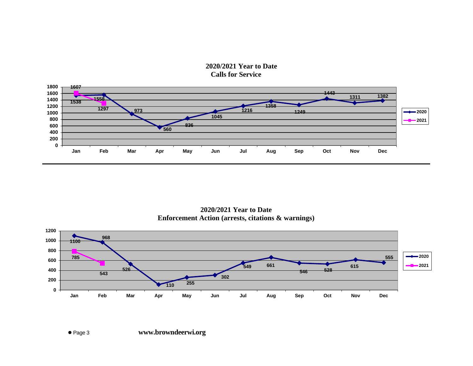**2020/2021 Year to Date Calls for Service**



**2020/2021 Year to Date Enforcement Action (arrests, citations & warnings)**

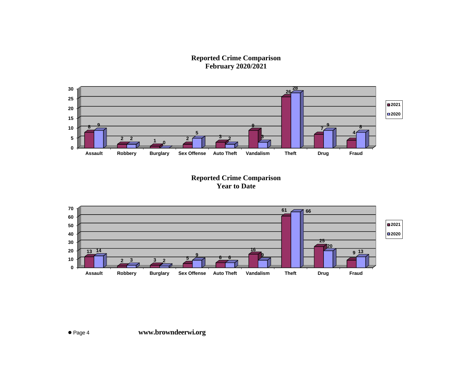**Reported Crime Comparison February 2020/2021**



**Reported Crime Comparison Year to Date**

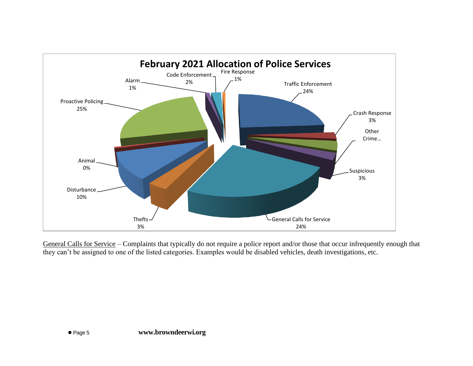

General Calls for Service – Complaints that typically do not require a police report and/or those that occur infrequently enough that they can't be assigned to one of the listed categories. Examples would be disabled vehicles, death investigations, etc.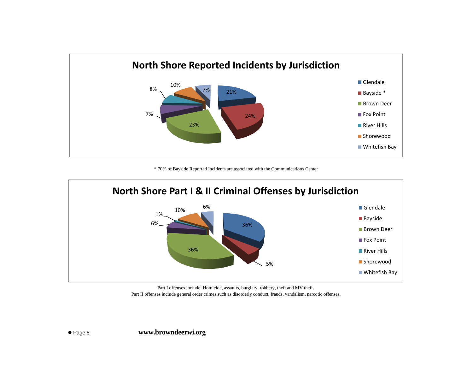

\* 70% of Bayside Reported Incidents are associated with the Communications Center



Part I offenses include: Homicide, assaults, burglary, robbery, theft and MV theft. Part II offenses include general order crimes such as disorderly conduct, frauds, vandalism, narcotic offenses.